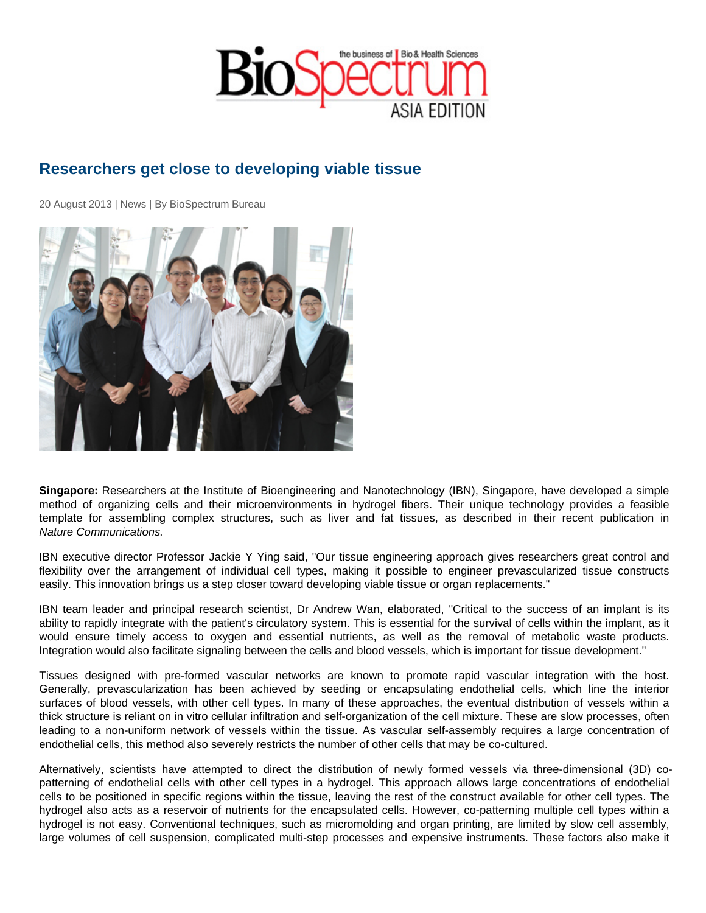## Researchers get close to developing viable tissue

20 August 2013 | News | By BioSpectrum Bureau

Singapore: Researchers at the Institute of Bioengineering and Nanotechnology (IBN), Singapore, have developed a simple method of organizing cells and their microenvironments in hydrogel fibers. Their unique technology provides a feasible template for assembling complex structures, such as liver and fat tissues, as described in their recent publication in Nature Communications.

IBN executive director Professor Jackie Y Ying said, "Our tissue engineering approach gives researchers great control and flexibility over the arrangement of individual cell types, making it possible to engineer prevascularized tissue constructs easily. This innovation brings us a step closer toward developing viable tissue or organ replacements."

IBN team leader and principal research scientist, Dr Andrew Wan, elaborated, "Critical to the success of an implant is its ability to rapidly integrate with the patient's circulatory system. This is essential for the survival of cells within the implant, as it would ensure timely access to oxygen and essential nutrients, as well as the removal of metabolic waste products. Integration would also facilitate signaling between the cells and blood vessels, which is important for tissue development."

Tissues designed with pre-formed vascular networks are known to promote rapid vascular integration with the host. Generally, prevascularization has been achieved by seeding or encapsulating endothelial cells, which line the interior surfaces of blood vessels, with other cell types. In many of these approaches, the eventual distribution of vessels within a thick structure is reliant on in vitro cellular infiltration and self-organization of the cell mixture. These are slow processes, often leading to a non-uniform network of vessels within the tissue. As vascular self-assembly requires a large concentration of endothelial cells, this method also severely restricts the number of other cells that may be co-cultured.

Alternatively, scientists have attempted to direct the distribution of newly formed vessels via three-dimensional (3D) copatterning of endothelial cells with other cell types in a hydrogel. This approach allows large concentrations of endothelial cells to be positioned in specific regions within the tissue, leaving the rest of the construct available for other cell types. The hydrogel also acts as a reservoir of nutrients for the encapsulated cells. However, co-patterning multiple cell types within a hydrogel is not easy. Conventional techniques, such as micromolding and organ printing, are limited by slow cell assembly, large volumes of cell suspension, complicated multi-step processes and expensive instruments. These factors also make it